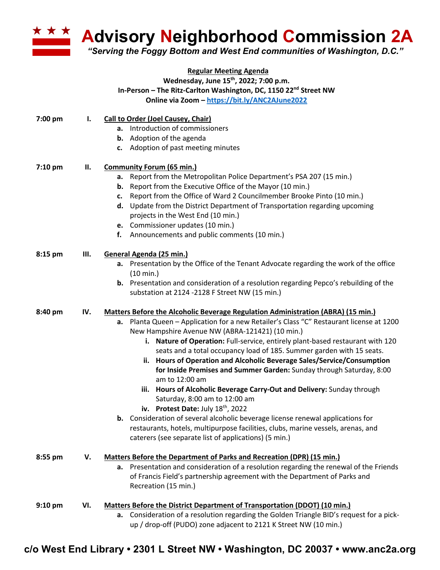

**Advisory Neighborhood Commission 2A** 

*"Serving the Foggy Bottom and West End communities of Washington, D.C."*

## **Regular Meeting Agenda Wednesday, June 15th, 2022; 7:00 p.m. In-Person – The Ritz-Carlton Washington, DC, 1150 22nd Street NW Online via Zoom – https://bit.ly/ANC2AJune2022**

| 7:00 pm   | Ι.  | <b>Call to Order (Joel Causey, Chair)</b>                                                                                                                            |
|-----------|-----|----------------------------------------------------------------------------------------------------------------------------------------------------------------------|
|           |     | a. Introduction of commissioners                                                                                                                                     |
|           |     | <b>b.</b> Adoption of the agenda                                                                                                                                     |
|           |     | c. Adoption of past meeting minutes                                                                                                                                  |
| $7:10$ pm | П.  | <b>Community Forum (65 min.)</b>                                                                                                                                     |
|           |     | Report from the Metropolitan Police Department's PSA 207 (15 min.)<br>a.                                                                                             |
|           |     | Report from the Executive Office of the Mayor (10 min.)<br>b.                                                                                                        |
|           |     | Report from the Office of Ward 2 Councilmember Brooke Pinto (10 min.)<br>c.                                                                                          |
|           |     | d. Update from the District Department of Transportation regarding upcoming                                                                                          |
|           |     | projects in the West End (10 min.)                                                                                                                                   |
|           |     | e. Commissioner updates (10 min.)                                                                                                                                    |
|           |     | f. Announcements and public comments (10 min.)                                                                                                                       |
| 8:15 pm   | Ш.  | General Agenda (25 min.)                                                                                                                                             |
|           |     | a. Presentation by the Office of the Tenant Advocate regarding the work of the office                                                                                |
|           |     | (10 min.)                                                                                                                                                            |
|           |     | <b>b.</b> Presentation and consideration of a resolution regarding Pepco's rebuilding of the                                                                         |
|           |     | substation at 2124 -2128 F Street NW (15 min.)                                                                                                                       |
| 8:40 pm   | IV. | Matters Before the Alcoholic Beverage Regulation Administration (ABRA) (15 min.)                                                                                     |
|           |     | a. Planta Queen - Application for a new Retailer's Class "C" Restaurant license at 1200                                                                              |
|           |     | New Hampshire Avenue NW (ABRA-121421) (10 min.)                                                                                                                      |
|           |     | i. Nature of Operation: Full-service, entirely plant-based restaurant with 120                                                                                       |
|           |     | seats and a total occupancy load of 185. Summer garden with 15 seats.                                                                                                |
|           |     | Hours of Operation and Alcoholic Beverage Sales/Service/Consumption<br>ii.<br>for Inside Premises and Summer Garden: Sunday through Saturday, 8:00<br>am to 12:00 am |
|           |     | iii. Hours of Alcoholic Beverage Carry-Out and Delivery: Sunday through                                                                                              |
|           |     | Saturday, 8:00 am to 12:00 am                                                                                                                                        |
|           |     | iv. Protest Date: July 18 <sup>th</sup> , 2022                                                                                                                       |
|           |     | b. Consideration of several alcoholic beverage license renewal applications for                                                                                      |
|           |     | restaurants, hotels, multipurpose facilities, clubs, marine vessels, arenas, and                                                                                     |
|           |     | caterers (see separate list of applications) (5 min.)                                                                                                                |
| 8:55 pm   | V.  | Matters Before the Department of Parks and Recreation (DPR) (15 min.)                                                                                                |
|           |     | a. Presentation and consideration of a resolution regarding the renewal of the Friends                                                                               |
|           |     | of Francis Field's partnership agreement with the Department of Parks and                                                                                            |
|           |     | Recreation (15 min.)                                                                                                                                                 |
| $9:10$ pm | VI. | Matters Before the District Department of Transportation (DDOT) (10 min.)                                                                                            |
|           |     | a. Consideration of a resolution regarding the Golden Triangle BID's request for a pick-                                                                             |
|           |     | up / drop-off (PUDO) zone adjacent to 2121 K Street NW (10 min.)                                                                                                     |

## **c/o West End Library • 2301 L Street NW • Washington, DC 20037 • www.anc2a.org**